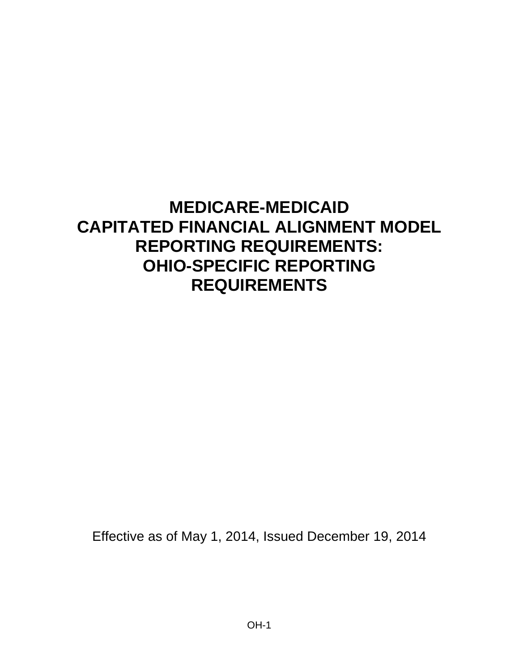# **MEDICARE-MEDICAID CAPITATED FINANCIAL ALIGNMENT MODEL REPORTING REQUIREMENTS: OHIO-SPECIFIC REPORTING REQUIREMENTS**

Effective as of May 1, 2014, Issued December 19, 2014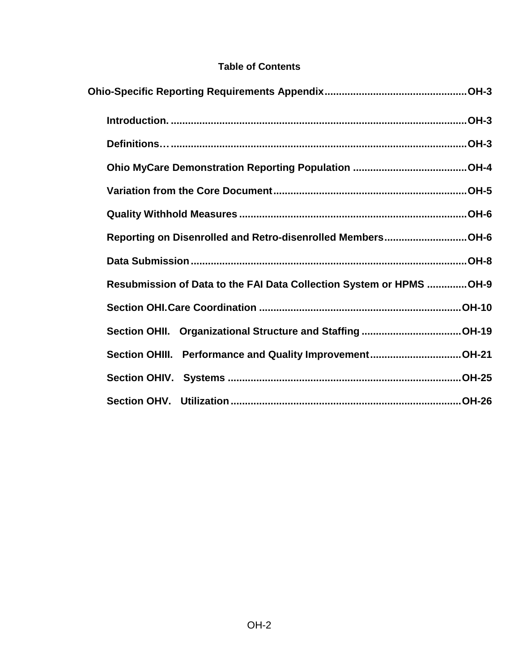#### **Table of Contents**

| Reporting on Disenrolled and Retro-disenrolled MembersOH-6          |  |
|---------------------------------------------------------------------|--|
|                                                                     |  |
| Resubmission of Data to the FAI Data Collection System or HPMS OH-9 |  |
|                                                                     |  |
|                                                                     |  |
| Section OHIII. Performance and Quality ImprovementOH-21             |  |
|                                                                     |  |
|                                                                     |  |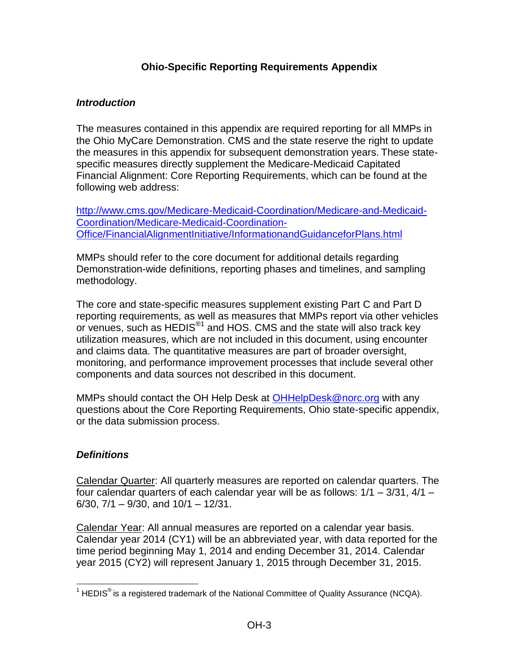#### **Ohio-Specific Reporting Requirements Appendix**

#### <span id="page-2-1"></span><span id="page-2-0"></span>*Introduction*

The measures contained in this appendix are required reporting for all MMPs in the Ohio MyCare Demonstration. CMS and the state reserve the right to update the measures in this appendix for subsequent demonstration years. These statespecific measures directly supplement the Medicare-Medicaid Capitated Financial Alignment: Core Reporting Requirements, which can be found at the following web address:

[http://www.cms.gov/Medicare-Medicaid-Coordination/Medicare-and-Medicaid-](http://www.cms.gov/Medicare-Medicaid-Coordination/Medicare-and-Medicaid-Coordination/Medicare-Medicaid-Coordination-Office/FinancialAlignmentInitiative/InformationandGuidanceforPlans.html)[Coordination/Medicare-Medicaid-Coordination-](http://www.cms.gov/Medicare-Medicaid-Coordination/Medicare-and-Medicaid-Coordination/Medicare-Medicaid-Coordination-Office/FinancialAlignmentInitiative/InformationandGuidanceforPlans.html)[Office/FinancialAlignmentInitiative/InformationandGuidanceforPlans.html](http://www.cms.gov/Medicare-Medicaid-Coordination/Medicare-and-Medicaid-Coordination/Medicare-Medicaid-Coordination-Office/FinancialAlignmentInitiative/InformationandGuidanceforPlans.html)

MMPs should refer to the core document for additional details regarding Demonstration-wide definitions, reporting phases and timelines, and sampling methodology.

The core and state-specific measures supplement existing Part C and Part D reporting requirements, as well as measures that MMPs report via other vehicles or venues, such as HEDIS<sup>®1</sup> and HOS. CMS and the state will also track key utilization measures, which are not included in this document, using encounter and claims data. The quantitative measures are part of broader oversight, monitoring, and performance improvement processes that include several other components and data sources not described in this document.

MMPs should contact the OH Help Desk at [OHHelpDesk@norc.org](mailto:OHHelpDesk@norc.org) with any questions about the Core Reporting Requirements, Ohio state-specific appendix, or the data submission process.

# <span id="page-2-2"></span>*Definitions*

Calendar Quarter: All quarterly measures are reported on calendar quarters. The four calendar quarters of each calendar year will be as follows: 1/1 – 3/31, 4/1 – 6/30,  $7/1 - 9/30$ , and  $10/1 - 12/31$ .

Calendar Year: All annual measures are reported on a calendar year basis. Calendar year 2014 (CY1) will be an abbreviated year, with data reported for the time period beginning May 1, 2014 and ending December 31, 2014. Calendar year 2015 (CY2) will represent January 1, 2015 through December 31, 2015.

 $\overline{a}$ <sup>1</sup> HEDIS<sup>®</sup> is a registered trademark of the National Committee of Quality Assurance (NCQA).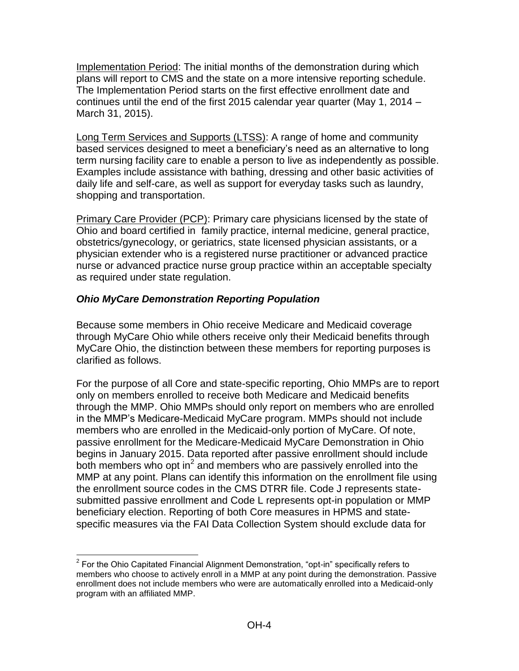Implementation Period: The initial months of the demonstration during which plans will report to CMS and the state on a more intensive reporting schedule. The Implementation Period starts on the first effective enrollment date and continues until the end of the first 2015 calendar year quarter (May 1, 2014 – March 31, 2015).

Long Term Services and Supports (LTSS): A range of home and community based services designed to meet a beneficiary's need as an alternative to long term nursing facility care to enable a person to live as independently as possible. Examples include assistance with bathing, dressing and other basic activities of daily life and self-care, as well as support for everyday tasks such as laundry, shopping and transportation.

Primary Care Provider (PCP): Primary care physicians licensed by the state of Ohio and board certified in family practice, internal medicine, general practice, obstetrics/gynecology, or geriatrics, state licensed physician assistants, or a physician extender who is a registered nurse practitioner or advanced practice nurse or advanced practice nurse group practice within an acceptable specialty as required under state regulation.

## <span id="page-3-0"></span>*Ohio MyCare Demonstration Reporting Population*

Because some members in Ohio receive Medicare and Medicaid coverage through MyCare Ohio while others receive only their Medicaid benefits through MyCare Ohio, the distinction between these members for reporting purposes is clarified as follows.

For the purpose of all Core and state-specific reporting, Ohio MMPs are to report only on members enrolled to receive both Medicare and Medicaid benefits through the MMP. Ohio MMPs should only report on members who are enrolled in the MMP's Medicare-Medicaid MyCare program. MMPs should not include members who are enrolled in the Medicaid-only portion of MyCare. Of note, passive enrollment for the Medicare-Medicaid MyCare Demonstration in Ohio begins in January 2015. Data reported after passive enrollment should include both members who opt in<sup>2</sup> and members who are passively enrolled into the MMP at any point. Plans can identify this information on the enrollment file using the enrollment source codes in the CMS DTRR file. Code J represents statesubmitted passive enrollment and Code L represents opt-in population or MMP beneficiary election. Reporting of both Core measures in HPMS and statespecific measures via the FAI Data Collection System should exclude data for

 2 For the Ohio Capitated Financial Alignment Demonstration, "opt-in" specifically refers to members who choose to actively enroll in a MMP at any point during the demonstration. Passive enrollment does not include members who were are automatically enrolled into a Medicaid-only program with an affiliated MMP.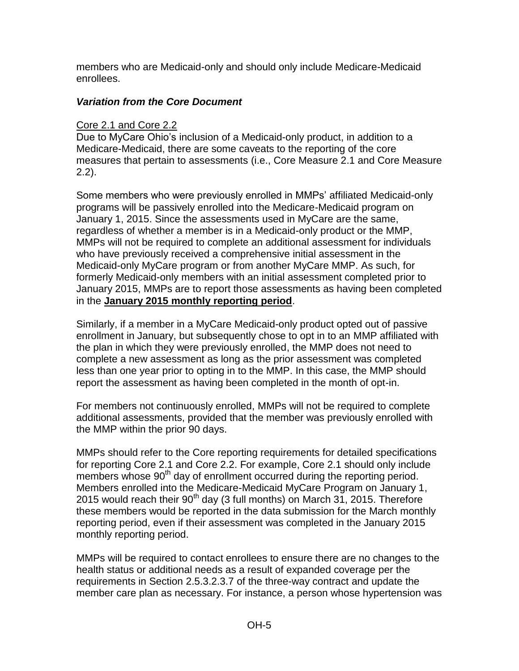members who are Medicaid-only and should only include Medicare-Medicaid enrollees.

## <span id="page-4-0"></span>*Variation from the Core Document*

# Core 2.1 and Core 2.2

Due to MyCare Ohio's inclusion of a Medicaid-only product, in addition to a Medicare-Medicaid, there are some caveats to the reporting of the core measures that pertain to assessments (i.e., Core Measure 2.1 and Core Measure 2.2).

Some members who were previously enrolled in MMPs' affiliated Medicaid-only programs will be passively enrolled into the Medicare-Medicaid program on January 1, 2015. Since the assessments used in MyCare are the same, regardless of whether a member is in a Medicaid-only product or the MMP, MMPs will not be required to complete an additional assessment for individuals who have previously received a comprehensive initial assessment in the Medicaid-only MyCare program or from another MyCare MMP. As such, for formerly Medicaid-only members with an initial assessment completed prior to January 2015, MMPs are to report those assessments as having been completed in the **January 2015 monthly reporting period**.

Similarly, if a member in a MyCare Medicaid-only product opted out of passive enrollment in January, but subsequently chose to opt in to an MMP affiliated with the plan in which they were previously enrolled, the MMP does not need to complete a new assessment as long as the prior assessment was completed less than one year prior to opting in to the MMP. In this case, the MMP should report the assessment as having been completed in the month of opt-in.

For members not continuously enrolled, MMPs will not be required to complete additional assessments, provided that the member was previously enrolled with the MMP within the prior 90 days.

MMPs should refer to the Core reporting requirements for detailed specifications for reporting Core 2.1 and Core 2.2. For example, Core 2.1 should only include members whose 90<sup>th</sup> day of enrollment occurred during the reporting period. Members enrolled into the Medicare-Medicaid MyCare Program on January 1, 2015 would reach their  $90<sup>th</sup>$  day (3 full months) on March 31, 2015. Therefore these members would be reported in the data submission for the March monthly reporting period, even if their assessment was completed in the January 2015 monthly reporting period.

MMPs will be required to contact enrollees to ensure there are no changes to the health status or additional needs as a result of expanded coverage per the requirements in Section 2.5.3.2.3.7 of the three-way contract and update the member care plan as necessary. For instance, a person whose hypertension was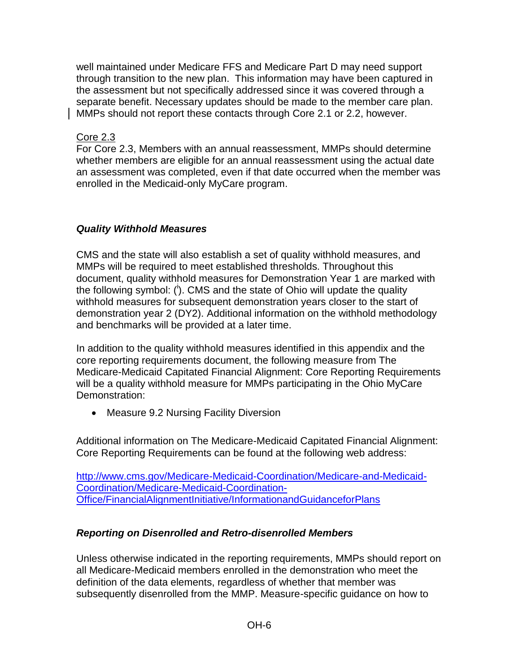well maintained under Medicare FFS and Medicare Part D may need support through transition to the new plan. This information may have been captured in the assessment but not specifically addressed since it was covered through a separate benefit. Necessary updates should be made to the member care plan. MMPs should not report these contacts through Core 2.1 or 2.2, however.

Core 2.3

For Core 2.3, Members with an annual reassessment, MMPs should determine whether members are eligible for an annual reassessment using the actual date an assessment was completed, even if that date occurred when the member was enrolled in the Medicaid-only MyCare program.

# <span id="page-5-0"></span>*Quality Withhold Measures*

CMS and the state will also establish a set of quality withhold measures, and MMPs will be required to meet established thresholds. Throughout this document, quality withhold measures for Demonstration Year 1 are marked with the following symbol: (<sup>i</sup>). CMS and the state of Ohio will update the quality withhold measures for subsequent demonstration years closer to the start of demonstration year 2 (DY2). Additional information on the withhold methodology and benchmarks will be provided at a later time.

In addition to the quality withhold measures identified in this appendix and the core reporting requirements document, the following measure from The Medicare-Medicaid Capitated Financial Alignment: Core Reporting Requirements will be a quality withhold measure for MMPs participating in the Ohio MyCare Demonstration:

• Measure 9.2 Nursing Facility Diversion

Additional information on The Medicare-Medicaid Capitated Financial Alignment: Core Reporting Requirements can be found at the following web address:

[http://www.cms.gov/Medicare-Medicaid-Coordination/Medicare-and-Medicaid-](http://www.cms.gov/Medicare-Medicaid-Coordination/Medicare-and-Medicaid-Coordination/Medicare-Medicaid-Coordination-Office/FinancialAlignmentInitiative/InformationandGuidanceforPlans)[Coordination/Medicare-Medicaid-Coordination-](http://www.cms.gov/Medicare-Medicaid-Coordination/Medicare-and-Medicaid-Coordination/Medicare-Medicaid-Coordination-Office/FinancialAlignmentInitiative/InformationandGuidanceforPlans)[Office/FinancialAlignmentInitiative/InformationandGuidanceforPlans](http://www.cms.gov/Medicare-Medicaid-Coordination/Medicare-and-Medicaid-Coordination/Medicare-Medicaid-Coordination-Office/FinancialAlignmentInitiative/InformationandGuidanceforPlans)

# <span id="page-5-1"></span>*Reporting on Disenrolled and Retro-disenrolled Members*

Unless otherwise indicated in the reporting requirements, MMPs should report on all Medicare-Medicaid members enrolled in the demonstration who meet the definition of the data elements, regardless of whether that member was subsequently disenrolled from the MMP. Measure-specific guidance on how to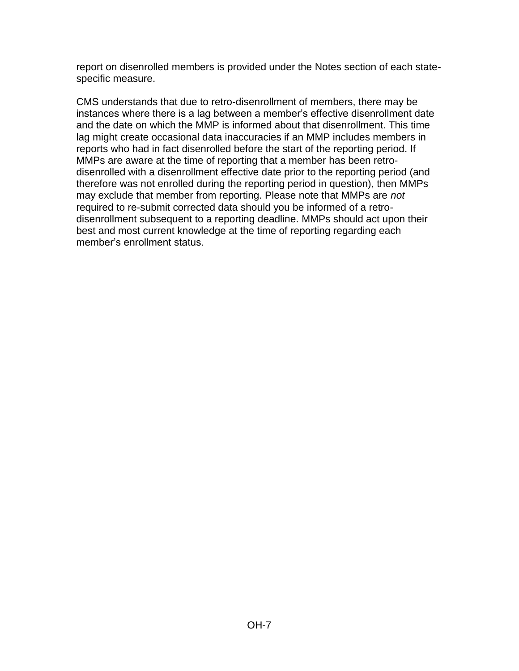report on disenrolled members is provided under the Notes section of each statespecific measure.

CMS understands that due to retro-disenrollment of members, there may be instances where there is a lag between a member's effective disenrollment date and the date on which the MMP is informed about that disenrollment. This time lag might create occasional data inaccuracies if an MMP includes members in reports who had in fact disenrolled before the start of the reporting period. If MMPs are aware at the time of reporting that a member has been retrodisenrolled with a disenrollment effective date prior to the reporting period (and therefore was not enrolled during the reporting period in question), then MMPs may exclude that member from reporting. Please note that MMPs are *not*  required to re-submit corrected data should you be informed of a retrodisenrollment subsequent to a reporting deadline. MMPs should act upon their best and most current knowledge at the time of reporting regarding each member's enrollment status.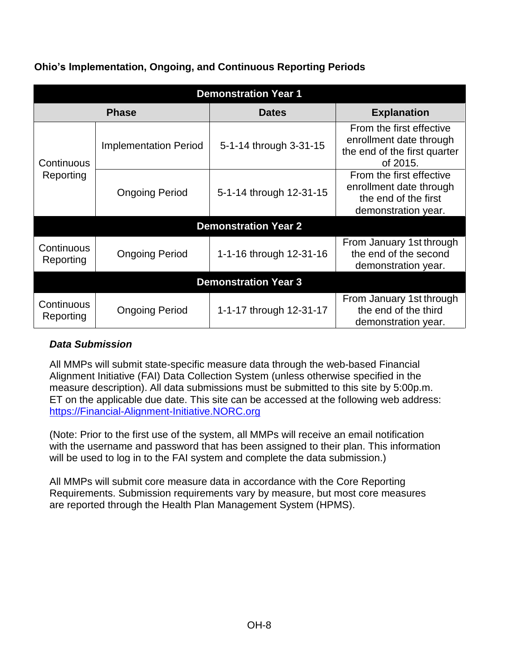| <b>Demonstration Year 1</b> |                              |                             |                                                                                                    |  |
|-----------------------------|------------------------------|-----------------------------|----------------------------------------------------------------------------------------------------|--|
|                             | <b>Phase</b>                 | <b>Dates</b>                | <b>Explanation</b>                                                                                 |  |
| Continuous                  | <b>Implementation Period</b> | 5-1-14 through 3-31-15      | From the first effective<br>enrollment date through<br>the end of the first quarter<br>of 2015.    |  |
| Reporting                   | <b>Ongoing Period</b>        | 5-1-14 through 12-31-15     | From the first effective<br>enrollment date through<br>the end of the first<br>demonstration year. |  |
|                             |                              | <b>Demonstration Year 2</b> |                                                                                                    |  |
| Continuous<br>Reporting     | <b>Ongoing Period</b>        | 1-1-16 through 12-31-16     | From January 1st through<br>the end of the second<br>demonstration year.                           |  |
| <b>Demonstration Year 3</b> |                              |                             |                                                                                                    |  |
| Continuous<br>Reporting     | <b>Ongoing Period</b>        | 1-1-17 through 12-31-17     | From January 1st through<br>the end of the third<br>demonstration year.                            |  |

## **Ohio's Implementation, Ongoing, and Continuous Reporting Periods**

# <span id="page-7-0"></span>*Data Submission*

All MMPs will submit state-specific measure data through the web-based Financial Alignment Initiative (FAI) Data Collection System (unless otherwise specified in the measure description). All data submissions must be submitted to this site by 5:00p.m. ET on the applicable due date. This site can be accessed at the following web address: [https://Financial-Alignment-Initiative.NORC.org](https://financial-alignment-initiative.norc.org/) 

(Note: Prior to the first use of the system, all MMPs will receive an email notification with the username and password that has been assigned to their plan. This information will be used to log in to the FAI system and complete the data submission.)

All MMPs will submit core measure data in accordance with the Core Reporting Requirements. Submission requirements vary by measure, but most core measures are reported through the Health Plan Management System (HPMS).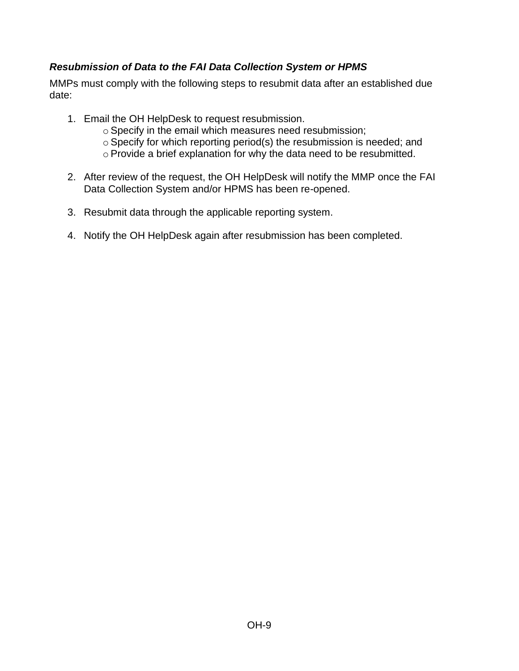# <span id="page-8-0"></span>*Resubmission of Data to the FAI Data Collection System or HPMS*

MMPs must comply with the following steps to resubmit data after an established due date:

- 1. Email the OH HelpDesk to request resubmission.
	- o Specify in the email which measures need resubmission;
	- o Specify for which reporting period(s) the resubmission is needed; and
	- o Provide a brief explanation for why the data need to be resubmitted.
- 2. After review of the request, the OH HelpDesk will notify the MMP once the FAI Data Collection System and/or HPMS has been re-opened.
- 3. Resubmit data through the applicable reporting system.
- 4. Notify the OH HelpDesk again after resubmission has been completed.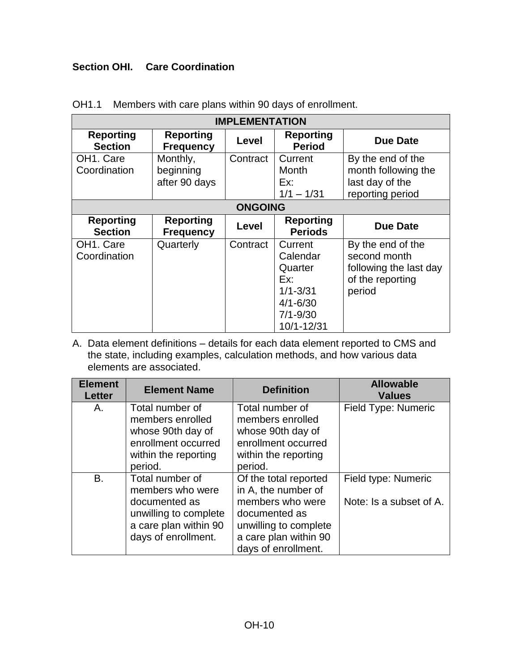## <span id="page-9-0"></span>**Section OHI. Care Coordination**

| <b>IMPLEMENTATION</b>                  |                                        |                |                                                                                                     |                                                                                           |
|----------------------------------------|----------------------------------------|----------------|-----------------------------------------------------------------------------------------------------|-------------------------------------------------------------------------------------------|
| <b>Reporting</b><br><b>Section</b>     | <b>Reporting</b><br><b>Frequency</b>   | Level          | <b>Reporting</b><br><b>Period</b>                                                                   | <b>Due Date</b>                                                                           |
| OH1. Care<br>Coordination              | Monthly,<br>beginning<br>after 90 days | Contract       | Current<br>Month<br>Ex:<br>$1/1 - 1/31$                                                             | By the end of the<br>month following the<br>last day of the<br>reporting period           |
|                                        |                                        | <b>ONGOING</b> |                                                                                                     |                                                                                           |
| <b>Reporting</b><br><b>Section</b>     | <b>Reporting</b><br><b>Frequency</b>   | Level          | <b>Reporting</b><br><b>Periods</b>                                                                  | <b>Due Date</b>                                                                           |
| OH <sub>1</sub> . Care<br>Coordination | Quarterly                              | Contract       | Current<br>Calendar<br>Quarter<br>Ex:<br>$1/1 - 3/31$<br>$4/1 - 6/30$<br>$7/1 - 9/30$<br>10/1-12/31 | By the end of the<br>second month<br>following the last day<br>of the reporting<br>period |

#### OH1.1 Members with care plans within 90 days of enrollment.

| <b>Element</b><br><b>Letter</b> | <b>Element Name</b>   | <b>Definition</b>     | <b>Allowable</b><br><b>Values</b> |
|---------------------------------|-----------------------|-----------------------|-----------------------------------|
| А.                              | Total number of       | Total number of       | Field Type: Numeric               |
|                                 | members enrolled      | members enrolled      |                                   |
|                                 | whose 90th day of     | whose 90th day of     |                                   |
|                                 | enrollment occurred   | enrollment occurred   |                                   |
|                                 | within the reporting  | within the reporting  |                                   |
|                                 | period.               | period.               |                                   |
| B.                              | Total number of       | Of the total reported | Field type: Numeric               |
|                                 | members who were      | in A, the number of   |                                   |
|                                 | documented as         | members who were      | Note: Is a subset of A.           |
|                                 | unwilling to complete | documented as         |                                   |
|                                 | a care plan within 90 | unwilling to complete |                                   |
|                                 | days of enrollment.   | a care plan within 90 |                                   |
|                                 |                       | days of enrollment.   |                                   |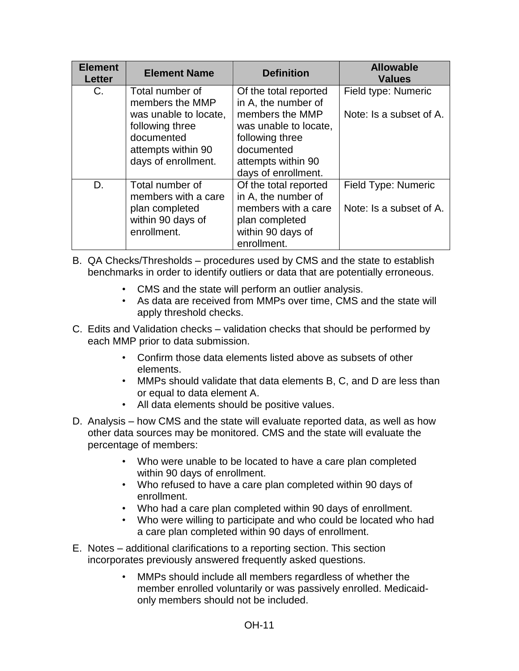| <b>Element</b><br><b>Letter</b> | <b>Element Name</b>                                                                                                                       | <b>Definition</b>                                                                                                                                                      | <b>Allowable</b><br><b>Values</b>              |
|---------------------------------|-------------------------------------------------------------------------------------------------------------------------------------------|------------------------------------------------------------------------------------------------------------------------------------------------------------------------|------------------------------------------------|
| C.                              | Total number of<br>members the MMP<br>was unable to locate,<br>following three<br>documented<br>attempts within 90<br>days of enrollment. | Of the total reported<br>in A, the number of<br>members the MMP<br>was unable to locate,<br>following three<br>documented<br>attempts within 90<br>days of enrollment. | Field type: Numeric<br>Note: Is a subset of A. |
| D.                              | Total number of<br>members with a care<br>plan completed<br>within 90 days of<br>enrollment.                                              | Of the total reported<br>in A, the number of<br>members with a care<br>plan completed<br>within 90 days of<br>enrollment.                                              | Field Type: Numeric<br>Note: Is a subset of A. |

- B. QA Checks/Thresholds procedures used by CMS and the state to establish benchmarks in order to identify outliers or data that are potentially erroneous.
	- CMS and the state will perform an outlier analysis.
	- As data are received from MMPs over time, CMS and the state will apply threshold checks.
- C. Edits and Validation checks validation checks that should be performed by each MMP prior to data submission.
	- Confirm those data elements listed above as subsets of other elements.
	- MMPs should validate that data elements B, C, and D are less than or equal to data element A.
	- All data elements should be positive values.
- D. Analysis how CMS and the state will evaluate reported data, as well as how other data sources may be monitored. CMS and the state will evaluate the percentage of members:
	- Who were unable to be located to have a care plan completed within 90 days of enrollment.
	- Who refused to have a care plan completed within 90 days of enrollment.
	- Who had a care plan completed within 90 days of enrollment.
	- Who were willing to participate and who could be located who had a care plan completed within 90 days of enrollment.
- E. Notes additional clarifications to a reporting section. This section incorporates previously answered frequently asked questions.
	- MMPs should include all members regardless of whether the member enrolled voluntarily or was passively enrolled. Medicaidonly members should not be included.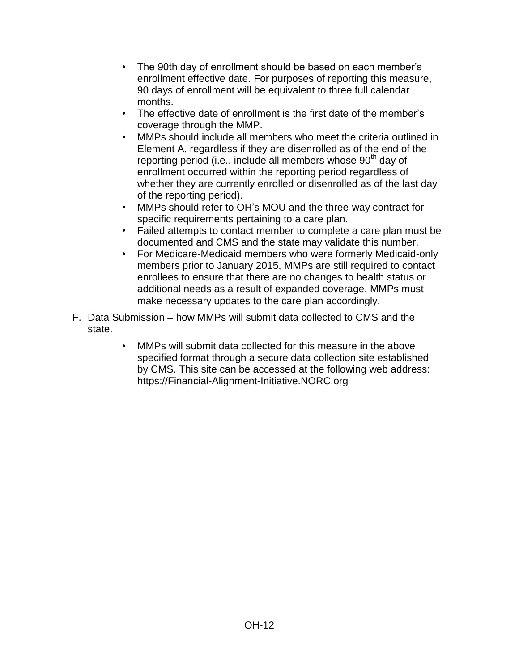- The 90th day of enrollment should be based on each member's enrollment effective date. For purposes of reporting this measure, 90 days of enrollment will be equivalent to three full calendar months.
- The effective date of enrollment is the first date of the member's coverage through the MMP.
- MMPs should include all members who meet the criteria outlined in Element A, regardless if they are disenrolled as of the end of the reporting period (i.e., include all members whose 90<sup>th</sup> day of enrollment occurred within the reporting period regardless of whether they are currently enrolled or disenrolled as of the last day of the reporting period).
- MMPs should refer to OH's MOU and the three-way contract for specific requirements pertaining to a care plan.
- Failed attempts to contact member to complete a care plan must be documented and CMS and the state may validate this number.
- For Medicare-Medicaid members who were formerly Medicaid-only members prior to January 2015, MMPs are still required to contact enrollees to ensure that there are no changes to health status or additional needs as a result of expanded coverage. MMPs must make necessary updates to the care plan accordingly.
- F. Data Submission how MMPs will submit data collected to CMS and the state.
	- MMPs will submit data collected for this measure in the above specified format through a secure data collection site established by CMS. This site can be accessed at the following web address: [https://Financial-Alignment-Initiative.NORC.org](https://financial-alignment-initiative.norc.org/)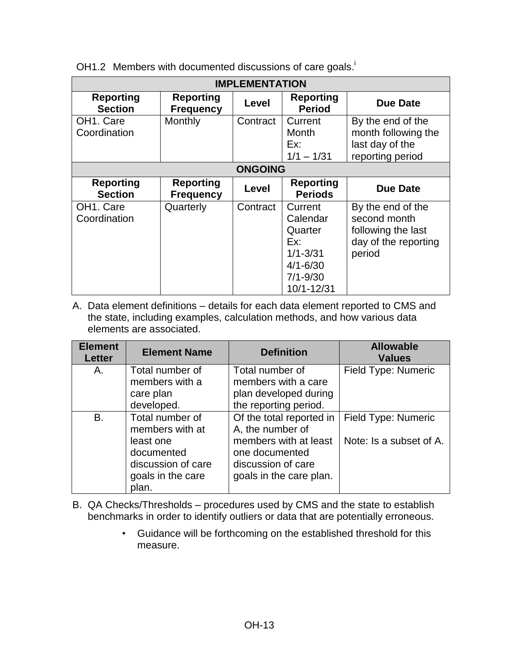| <b>IMPLEMENTATION</b>                                           |                                      |                                                                                                     |                                                                                           |                                                                                 |  |
|-----------------------------------------------------------------|--------------------------------------|-----------------------------------------------------------------------------------------------------|-------------------------------------------------------------------------------------------|---------------------------------------------------------------------------------|--|
| <b>Reporting</b><br><b>Section</b>                              | <b>Reporting</b><br><b>Frequency</b> | Level                                                                                               | <b>Reporting</b><br><b>Period</b>                                                         | Due Date                                                                        |  |
| OH <sub>1</sub> . Care<br>Coordination                          | Monthly                              | Contract                                                                                            | Current<br>Month<br>Ex:<br>$1/1 - 1/31$                                                   | By the end of the<br>month following the<br>last day of the<br>reporting period |  |
|                                                                 | <b>ONGOING</b>                       |                                                                                                     |                                                                                           |                                                                                 |  |
| <b>Reporting</b><br><b>Section</b>                              | <b>Reporting</b><br><b>Frequency</b> | <b>Level</b>                                                                                        | <b>Reporting</b><br><b>Periods</b>                                                        | <b>Due Date</b>                                                                 |  |
| OH <sub>1</sub> . Care<br>Contract<br>Quarterly<br>Coordination |                                      | Current<br>Calendar<br>Quarter<br>Ex:<br>$1/1 - 3/31$<br>$4/1 - 6/30$<br>$7/1 - 9/30$<br>10/1-12/31 | By the end of the<br>second month<br>following the last<br>day of the reporting<br>period |                                                                                 |  |

OH1.2 Members with documented discussions of care goals.

| <b>Element</b><br><b>Letter</b> | <b>Element Name</b>                                                                                               | <b>Definition</b>                                                                                                                        | <b>Allowable</b><br><b>Values</b>              |
|---------------------------------|-------------------------------------------------------------------------------------------------------------------|------------------------------------------------------------------------------------------------------------------------------------------|------------------------------------------------|
| Α.                              | Total number of<br>members with a<br>care plan<br>developed.                                                      | Total number of<br>members with a care<br>plan developed during<br>the reporting period.                                                 | Field Type: Numeric                            |
| <b>B.</b>                       | Total number of<br>members with at<br>least one<br>documented<br>discussion of care<br>goals in the care<br>plan. | Of the total reported in<br>A, the number of<br>members with at least<br>one documented<br>discussion of care<br>goals in the care plan. | Field Type: Numeric<br>Note: Is a subset of A. |

- B. QA Checks/Thresholds procedures used by CMS and the state to establish benchmarks in order to identify outliers or data that are potentially erroneous.
	- Guidance will be forthcoming on the established threshold for this measure.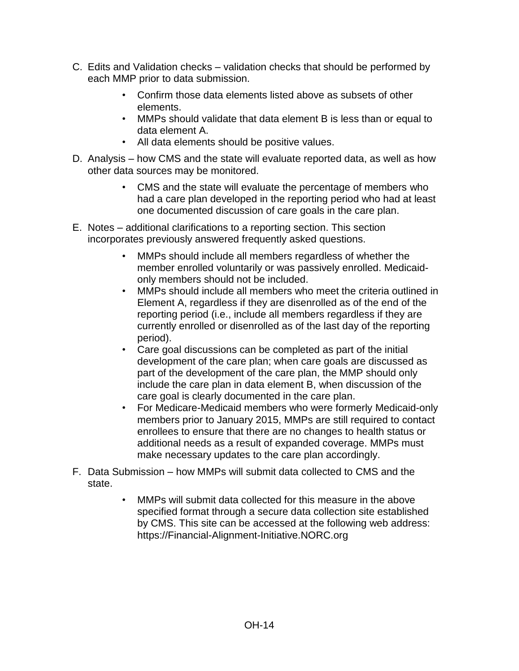- C. Edits and Validation checks validation checks that should be performed by each MMP prior to data submission.
	- Confirm those data elements listed above as subsets of other elements.
	- MMPs should validate that data element B is less than or equal to data element A.
	- All data elements should be positive values.
- D. Analysis how CMS and the state will evaluate reported data, as well as how other data sources may be monitored.
	- CMS and the state will evaluate the percentage of members who had a care plan developed in the reporting period who had at least one documented discussion of care goals in the care plan.
- E. Notes additional clarifications to a reporting section. This section incorporates previously answered frequently asked questions.
	- MMPs should include all members regardless of whether the member enrolled voluntarily or was passively enrolled. Medicaidonly members should not be included.
	- MMPs should include all members who meet the criteria outlined in Element A, regardless if they are disenrolled as of the end of the reporting period (i.e., include all members regardless if they are currently enrolled or disenrolled as of the last day of the reporting period).
	- Care goal discussions can be completed as part of the initial development of the care plan; when care goals are discussed as part of the development of the care plan, the MMP should only include the care plan in data element B, when discussion of the care goal is clearly documented in the care plan.
	- For Medicare-Medicaid members who were formerly Medicaid-only members prior to January 2015, MMPs are still required to contact enrollees to ensure that there are no changes to health status or additional needs as a result of expanded coverage. MMPs must make necessary updates to the care plan accordingly.
- F. Data Submission how MMPs will submit data collected to CMS and the state.
	- MMPs will submit data collected for this measure in the above specified format through a secure data collection site established by CMS. This site can be accessed at the following web address: [https://Financial-Alignment-Initiative.NORC.org](https://financial-alignment-initiative.norc.org/)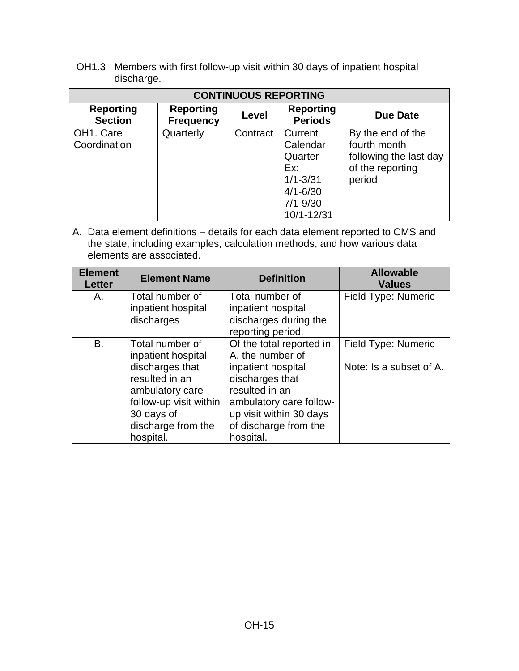OH1.3 Members with first follow-up visit within 30 days of inpatient hospital discharge.

| <b>CONTINUOUS REPORTING</b>            |                                      |          |                                                                                                     |                                                                                           |
|----------------------------------------|--------------------------------------|----------|-----------------------------------------------------------------------------------------------------|-------------------------------------------------------------------------------------------|
| <b>Reporting</b><br><b>Section</b>     | <b>Reporting</b><br><b>Frequency</b> | Level    | <b>Reporting</b><br><b>Periods</b>                                                                  | Due Date                                                                                  |
| OH <sub>1</sub> . Care<br>Coordination | Quarterly                            | Contract | Current<br>Calendar<br>Quarter<br>Ex:<br>$1/1 - 3/31$<br>$4/1 - 6/30$<br>$7/1 - 9/30$<br>10/1-12/31 | By the end of the<br>fourth month<br>following the last day<br>of the reporting<br>period |

| <b>Element</b><br><b>Letter</b> | <b>Element Name</b>    | <b>Definition</b>        | <b>Allowable</b><br><b>Values</b> |
|---------------------------------|------------------------|--------------------------|-----------------------------------|
| А.                              | Total number of        | Total number of          | Field Type: Numeric               |
|                                 | inpatient hospital     | inpatient hospital       |                                   |
|                                 | discharges             | discharges during the    |                                   |
|                                 |                        | reporting period.        |                                   |
| B.                              | Total number of        | Of the total reported in | Field Type: Numeric               |
|                                 | inpatient hospital     | A, the number of         |                                   |
|                                 | discharges that        | inpatient hospital       | Note: Is a subset of A.           |
|                                 | resulted in an         | discharges that          |                                   |
|                                 | ambulatory care        | resulted in an           |                                   |
|                                 | follow-up visit within | ambulatory care follow-  |                                   |
|                                 | 30 days of             | up visit within 30 days  |                                   |
|                                 | discharge from the     | of discharge from the    |                                   |
|                                 | hospital.              | hospital.                |                                   |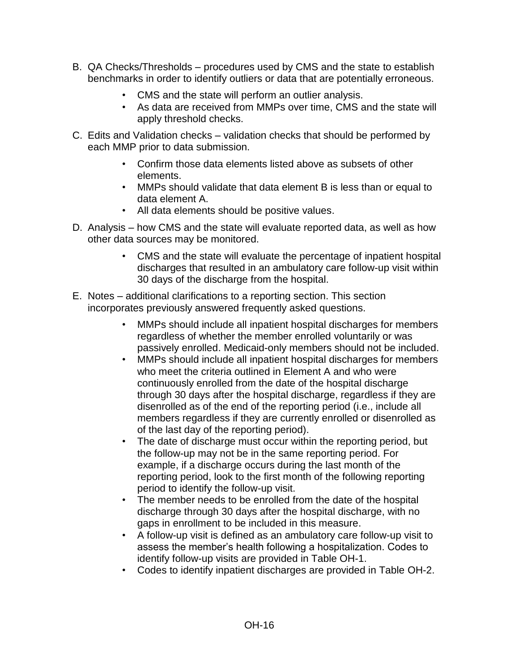- B. QA Checks/Thresholds procedures used by CMS and the state to establish benchmarks in order to identify outliers or data that are potentially erroneous.
	- CMS and the state will perform an outlier analysis.
	- As data are received from MMPs over time, CMS and the state will apply threshold checks.
- C. Edits and Validation checks validation checks that should be performed by each MMP prior to data submission.
	- Confirm those data elements listed above as subsets of other elements.
	- MMPs should validate that data element B is less than or equal to data element A.
	- All data elements should be positive values.
- D. Analysis how CMS and the state will evaluate reported data, as well as how other data sources may be monitored.
	- CMS and the state will evaluate the percentage of inpatient hospital discharges that resulted in an ambulatory care follow-up visit within 30 days of the discharge from the hospital.
- E. Notes additional clarifications to a reporting section. This section incorporates previously answered frequently asked questions.
	- MMPs should include all inpatient hospital discharges for members regardless of whether the member enrolled voluntarily or was passively enrolled. Medicaid-only members should not be included.
	- MMPs should include all inpatient hospital discharges for members who meet the criteria outlined in Element A and who were continuously enrolled from the date of the hospital discharge through 30 days after the hospital discharge, regardless if they are disenrolled as of the end of the reporting period (i.e., include all members regardless if they are currently enrolled or disenrolled as of the last day of the reporting period).
	- The date of discharge must occur within the reporting period, but the follow-up may not be in the same reporting period. For example, if a discharge occurs during the last month of the reporting period, look to the first month of the following reporting period to identify the follow-up visit.
	- The member needs to be enrolled from the date of the hospital discharge through 30 days after the hospital discharge, with no gaps in enrollment to be included in this measure.
	- A follow-up visit is defined as an ambulatory care follow-up visit to assess the member's health following a hospitalization. Codes to identify follow-up visits are provided in Table OH-1.
	- Codes to identify inpatient discharges are provided in Table OH-2.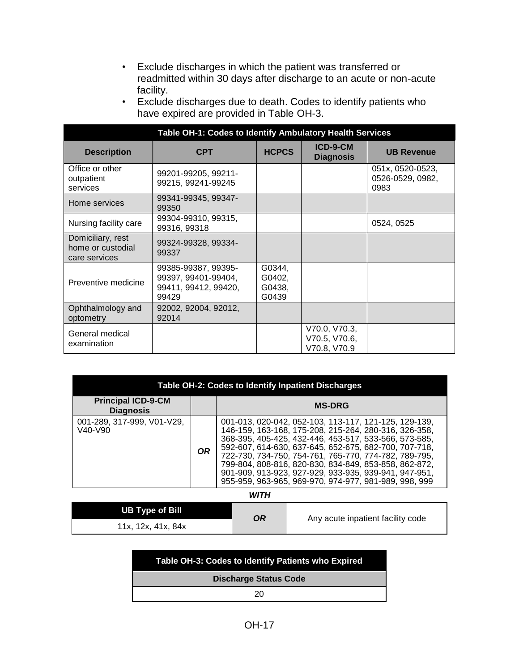• Exclude discharges in which the patient was transferred or readmitted within 30 days after discharge to an acute or non-acute facility.

| Exclude discharges due to death. Codes to identify patients who |
|-----------------------------------------------------------------|
| have expired are provided in Table OH-3.                        |

| Table OH-1: Codes to Identify Ambulatory Health Services |                                                                             |                                     |                                                |                                              |
|----------------------------------------------------------|-----------------------------------------------------------------------------|-------------------------------------|------------------------------------------------|----------------------------------------------|
| <b>Description</b>                                       | <b>CPT</b>                                                                  | <b>HCPCS</b>                        | ICD-9-CM<br><b>Diagnosis</b>                   | <b>UB Revenue</b>                            |
| Office or other<br>outpatient<br>services                | 99201-99205, 99211-<br>99215, 99241-99245                                   |                                     |                                                | 051x, 0520-0523,<br>0526-0529, 0982,<br>0983 |
| Home services                                            | 99341-99345, 99347-<br>99350                                                |                                     |                                                |                                              |
| Nursing facility care                                    | 99304-99310, 99315,<br>99316, 99318                                         |                                     |                                                | 0524, 0525                                   |
| Domiciliary, rest<br>home or custodial<br>care services  | 99324-99328, 99334-<br>99337                                                |                                     |                                                |                                              |
| Preventive medicine                                      | 99385-99387, 99395-<br>99397, 99401-99404,<br>99411, 99412, 99420,<br>99429 | G0344,<br>G0402,<br>G0438,<br>G0439 |                                                |                                              |
| Ophthalmology and<br>optometry                           | 92002, 92004, 92012,<br>92014                                               |                                     |                                                |                                              |
| General medical<br>examination                           |                                                                             |                                     | V70.0, V70.3,<br>V70.5, V70.6,<br>V70.8, V70.9 |                                              |

| Table OH-2: Codes to Identify Inpatient Discharges             |           |                                                                                                                                                                                                                                                                                                                                                                                                                                                                      |  |
|----------------------------------------------------------------|-----------|----------------------------------------------------------------------------------------------------------------------------------------------------------------------------------------------------------------------------------------------------------------------------------------------------------------------------------------------------------------------------------------------------------------------------------------------------------------------|--|
| <b>Principal ICD-9-CM</b><br><b>Diagnosis</b>                  |           | <b>MS-DRG</b>                                                                                                                                                                                                                                                                                                                                                                                                                                                        |  |
| 001-289, 317-999, V01-V29,<br>V <sub>40</sub> -V <sub>90</sub> | <b>OR</b> | 001-013, 020-042, 052-103, 113-117, 121-125, 129-139,<br>146-159, 163-168, 175-208, 215-264, 280-316, 326-358,<br>368-395, 405-425, 432-446, 453-517, 533-566, 573-585,<br>592-607, 614-630, 637-645, 652-675, 682-700, 707-718,<br>722-730, 734-750, 754-761, 765-770, 774-782, 789-795,<br>799-804, 808-816, 820-830, 834-849, 853-858, 862-872,<br>901-909, 913-923, 927-929, 933-935, 939-941, 947-951,<br>955-959, 963-965, 969-970, 974-977, 981-989, 998, 999 |  |

*WITH*

| UB Type of Bill    | OR | Any acute inpatient facility code |
|--------------------|----|-----------------------------------|
| 11x, 12x, 41x, 84x |    |                                   |

### **Table OH-3: Codes to Identify Patients who Expired**

**Discharge Status Code**

20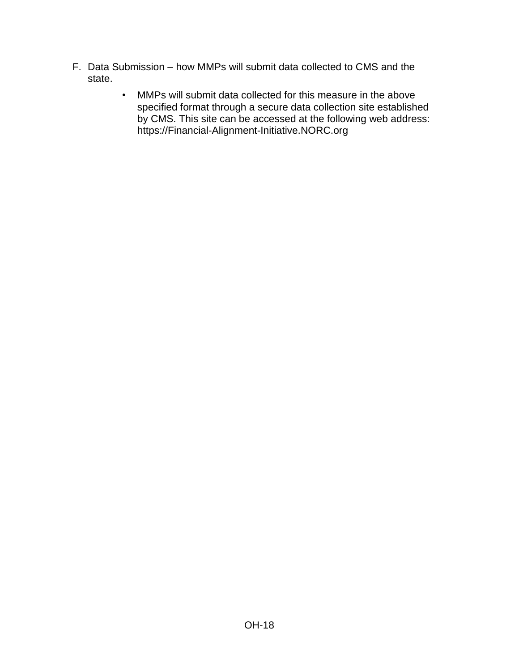- F. Data Submission how MMPs will submit data collected to CMS and the state.
	- MMPs will submit data collected for this measure in the above specified format through a secure data collection site established by CMS. This site can be accessed at the following web address: [https://Financial-Alignment-Initiative.NORC.org](https://financial-alignment-initiative.norc.org/)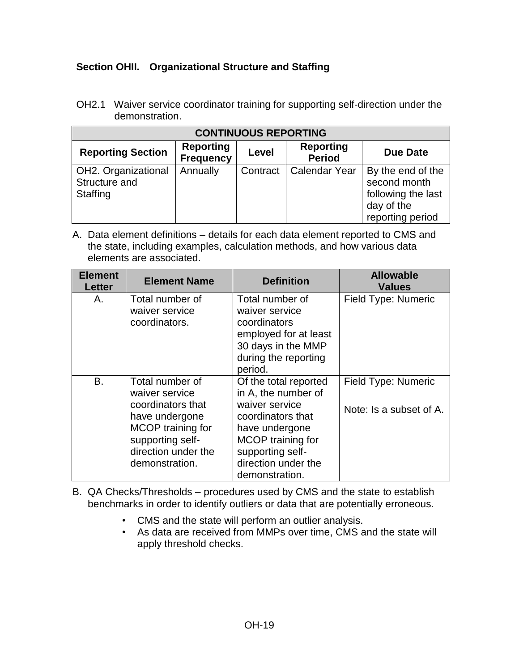## <span id="page-18-0"></span>**Section OHII. Organizational Structure and Staffing**

OH2.1 Waiver service coordinator training for supporting self-direction under the demonstration.

| <b>CONTINUOUS REPORTING</b>                      |                                      |          |                                   |                                                                                           |
|--------------------------------------------------|--------------------------------------|----------|-----------------------------------|-------------------------------------------------------------------------------------------|
| <b>Reporting Section</b>                         | <b>Reporting</b><br><b>Frequency</b> | Level    | <b>Reporting</b><br><b>Period</b> | Due Date                                                                                  |
| OH2. Organizational<br>Structure and<br>Staffing | Annually                             | Contract | <b>Calendar Year</b>              | By the end of the<br>second month<br>following the last<br>day of the<br>reporting period |

| <b>Element</b><br><b>Letter</b> | <b>Element Name</b>                                                                                                                                        | <b>Definition</b>                                                                                                                                                                       | <b>Allowable</b><br><b>Values</b>              |
|---------------------------------|------------------------------------------------------------------------------------------------------------------------------------------------------------|-----------------------------------------------------------------------------------------------------------------------------------------------------------------------------------------|------------------------------------------------|
| А.                              | Total number of<br>waiver service<br>coordinators.                                                                                                         | Total number of<br>waiver service<br>coordinators<br>employed for at least<br>30 days in the MMP<br>during the reporting<br>period.                                                     | Field Type: Numeric                            |
| B.                              | Total number of<br>waiver service<br>coordinators that<br>have undergone<br>MCOP training for<br>supporting self-<br>direction under the<br>demonstration. | Of the total reported<br>in A, the number of<br>waiver service<br>coordinators that<br>have undergone<br>MCOP training for<br>supporting self-<br>direction under the<br>demonstration. | Field Type: Numeric<br>Note: Is a subset of A. |

- B. QA Checks/Thresholds procedures used by CMS and the state to establish benchmarks in order to identify outliers or data that are potentially erroneous.
	- CMS and the state will perform an outlier analysis.
	- As data are received from MMPs over time, CMS and the state will apply threshold checks.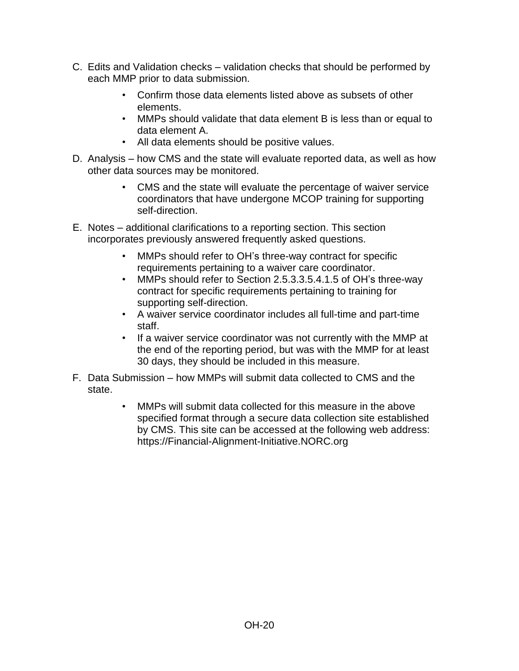- C. Edits and Validation checks validation checks that should be performed by each MMP prior to data submission.
	- Confirm those data elements listed above as subsets of other elements.
	- MMPs should validate that data element B is less than or equal to data element A.
	- All data elements should be positive values.
- D. Analysis how CMS and the state will evaluate reported data, as well as how other data sources may be monitored.
	- CMS and the state will evaluate the percentage of waiver service coordinators that have undergone MCOP training for supporting self-direction.
- E. Notes additional clarifications to a reporting section. This section incorporates previously answered frequently asked questions.
	- MMPs should refer to OH's three-way contract for specific requirements pertaining to a waiver care coordinator.
	- MMPs should refer to Section 2.5.3.3.5.4.1.5 of OH's three-way contract for specific requirements pertaining to training for supporting self-direction.
	- A waiver service coordinator includes all full-time and part-time staff.
	- If a waiver service coordinator was not currently with the MMP at the end of the reporting period, but was with the MMP for at least 30 days, they should be included in this measure.
- F. Data Submission how MMPs will submit data collected to CMS and the state.
	- MMPs will submit data collected for this measure in the above specified format through a secure data collection site established by CMS. This site can be accessed at the following web address: [https://Financial-Alignment-Initiative.NORC.org](https://financial-alignment-initiative.norc.org/)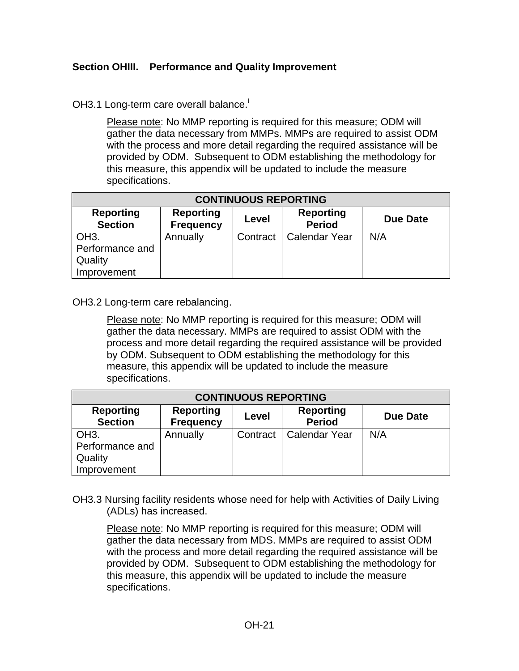#### <span id="page-20-0"></span>**Section OHIII. Performance and Quality Improvement**

OH3.1 Long-term care overall balance.<sup>i</sup>

Please note: No MMP reporting is required for this measure; ODM will gather the data necessary from MMPs. MMPs are required to assist ODM with the process and more detail regarding the required assistance will be provided by ODM. Subsequent to ODM establishing the methodology for this measure, this appendix will be updated to include the measure specifications.

| <b>CONTINUOUS REPORTING</b>                                    |          |          |                      |     |
|----------------------------------------------------------------|----------|----------|----------------------|-----|
| <b>Reporting</b><br><b>Section</b>                             | Due Date |          |                      |     |
| OH <sub>3</sub> .<br>Performance and<br>Quality<br>Improvement | Annually | Contract | <b>Calendar Year</b> | N/A |

OH3.2 Long-term care rebalancing.

Please note: No MMP reporting is required for this measure; ODM will gather the data necessary. MMPs are required to assist ODM with the process and more detail regarding the required assistance will be provided by ODM. Subsequent to ODM establishing the methodology for this measure, this appendix will be updated to include the measure specifications.

| <b>CONTINUOUS REPORTING</b>                                                                                                          |          |  |                          |     |  |
|--------------------------------------------------------------------------------------------------------------------------------------|----------|--|--------------------------|-----|--|
| <b>Reporting</b><br><b>Reporting</b><br><b>Reporting</b><br>Due Date<br>Level<br><b>Section</b><br><b>Period</b><br><b>Frequency</b> |          |  |                          |     |  |
| OH <sub>3</sub> .                                                                                                                    | Annually |  | Contract   Calendar Year | N/A |  |
| Performance and                                                                                                                      |          |  |                          |     |  |
| Quality                                                                                                                              |          |  |                          |     |  |
| Improvement                                                                                                                          |          |  |                          |     |  |

OH3.3 Nursing facility residents whose need for help with Activities of Daily Living (ADLs) has increased.

Please note: No MMP reporting is required for this measure; ODM will gather the data necessary from MDS. MMPs are required to assist ODM with the process and more detail regarding the required assistance will be provided by ODM. Subsequent to ODM establishing the methodology for this measure, this appendix will be updated to include the measure specifications.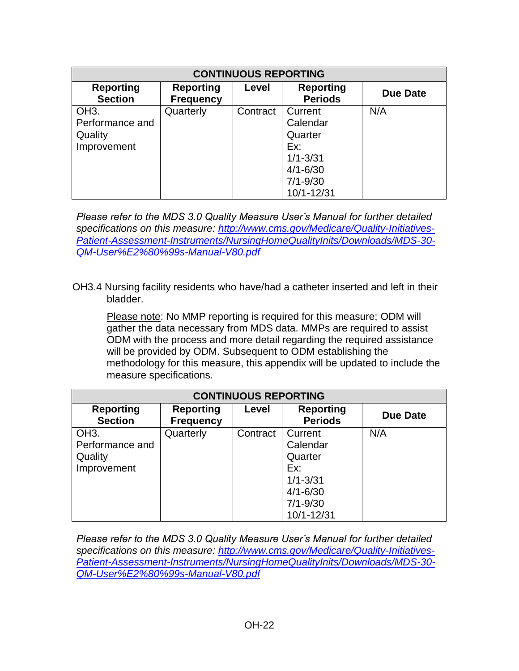| <b>CONTINUOUS REPORTING</b>                                    |                                      |          |                                                                                                     |          |
|----------------------------------------------------------------|--------------------------------------|----------|-----------------------------------------------------------------------------------------------------|----------|
| <b>Reporting</b><br><b>Section</b>                             | <b>Reporting</b><br><b>Frequency</b> | Level    | <b>Reporting</b><br><b>Periods</b>                                                                  | Due Date |
| OH <sub>3</sub> .<br>Performance and<br>Quality<br>Improvement | Quarterly                            | Contract | Current<br>Calendar<br>Quarter<br>Ex:<br>$1/1 - 3/31$<br>$4/1 - 6/30$<br>$7/1 - 9/30$<br>10/1-12/31 | N/A      |

*Please refer to the MDS 3.0 Quality Measure User's Manual for further detailed specifications on this measure: [http://www.cms.gov/Medicare/Quality-Initiatives-](http://www.cms.gov/Medicare/Quality-Initiatives-Patient-Assessment-Instruments/NursingHomeQualityInits/Downloads/MDS-30-QM-User%E2%80%99s-Manual-V80.pdf)[Patient-Assessment-Instruments/NursingHomeQualityInits/Downloads/MDS-30-](http://www.cms.gov/Medicare/Quality-Initiatives-Patient-Assessment-Instruments/NursingHomeQualityInits/Downloads/MDS-30-QM-User%E2%80%99s-Manual-V80.pdf) [QM-User%E2%80%99s-Manual-V80.pdf](http://www.cms.gov/Medicare/Quality-Initiatives-Patient-Assessment-Instruments/NursingHomeQualityInits/Downloads/MDS-30-QM-User%E2%80%99s-Manual-V80.pdf)*

OH3.4 Nursing facility residents who have/had a catheter inserted and left in their bladder.

Please note: No MMP reporting is required for this measure; ODM will gather the data necessary from MDS data. MMPs are required to assist ODM with the process and more detail regarding the required assistance will be provided by ODM. Subsequent to ODM establishing the methodology for this measure, this appendix will be updated to include the measure specifications.

| <b>CONTINUOUS REPORTING</b>                                    |                                      |          |                                                       |          |
|----------------------------------------------------------------|--------------------------------------|----------|-------------------------------------------------------|----------|
| <b>Reporting</b><br><b>Section</b>                             | <b>Reporting</b><br><b>Frequency</b> | Level    | <b>Reporting</b><br><b>Periods</b>                    | Due Date |
| OH <sub>3</sub> .<br>Performance and<br>Quality<br>Improvement | Quarterly                            | Contract | Current<br>Calendar<br>Quarter<br>Ex:<br>$1/1 - 3/31$ | N/A      |
|                                                                |                                      |          | $4/1 - 6/30$<br>$7/1 - 9/30$<br>10/1-12/31            |          |

*Please refer to the MDS 3.0 Quality Measure User's Manual for further detailed specifications on this measure: [http://www.cms.gov/Medicare/Quality-Initiatives-](http://www.cms.gov/Medicare/Quality-Initiatives-Patient-Assessment-Instruments/NursingHomeQualityInits/Downloads/MDS-30-QM-User%E2%80%99s-Manual-V80.pdf)[Patient-Assessment-Instruments/NursingHomeQualityInits/Downloads/MDS-30-](http://www.cms.gov/Medicare/Quality-Initiatives-Patient-Assessment-Instruments/NursingHomeQualityInits/Downloads/MDS-30-QM-User%E2%80%99s-Manual-V80.pdf) [QM-User%E2%80%99s-Manual-V80.pdf](http://www.cms.gov/Medicare/Quality-Initiatives-Patient-Assessment-Instruments/NursingHomeQualityInits/Downloads/MDS-30-QM-User%E2%80%99s-Manual-V80.pdf)*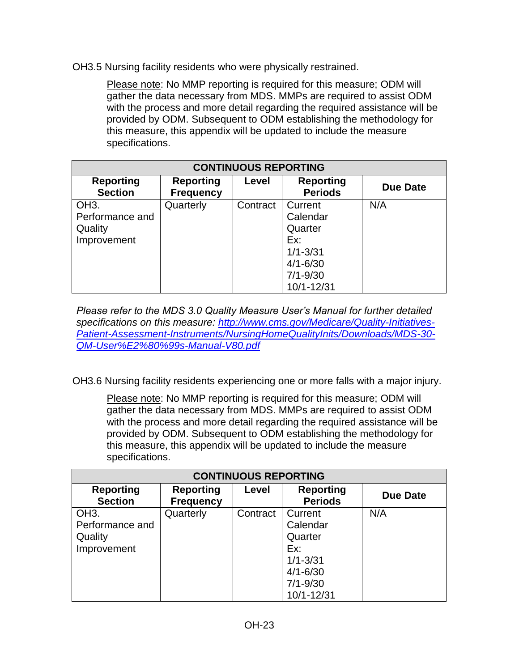OH3.5 Nursing facility residents who were physically restrained.

Please note: No MMP reporting is required for this measure; ODM will gather the data necessary from MDS. MMPs are required to assist ODM with the process and more detail regarding the required assistance will be provided by ODM. Subsequent to ODM establishing the methodology for this measure, this appendix will be updated to include the measure specifications.

| <b>CONTINUOUS REPORTING</b>        |                                      |          |                                    |          |
|------------------------------------|--------------------------------------|----------|------------------------------------|----------|
| <b>Reporting</b><br><b>Section</b> | <b>Reporting</b><br><b>Frequency</b> | Level    | <b>Reporting</b><br><b>Periods</b> | Due Date |
| OH <sub>3</sub> .                  | Quarterly                            | Contract | Current                            | N/A      |
| Performance and                    |                                      |          | Calendar                           |          |
| Quality                            |                                      |          | Quarter                            |          |
| Improvement                        |                                      |          | Ex:                                |          |
|                                    |                                      |          | $1/1 - 3/31$                       |          |
|                                    |                                      |          | $4/1 - 6/30$                       |          |
|                                    |                                      |          | $7/1 - 9/30$                       |          |
|                                    |                                      |          | 10/1-12/31                         |          |

*Please refer to the MDS 3.0 Quality Measure User's Manual for further detailed specifications on this measure: [http://www.cms.gov/Medicare/Quality-Initiatives-](http://www.cms.gov/Medicare/Quality-Initiatives-Patient-Assessment-Instruments/NursingHomeQualityInits/Downloads/MDS-30-QM-User%E2%80%99s-Manual-V80.pdf)[Patient-Assessment-Instruments/NursingHomeQualityInits/Downloads/MDS-30-](http://www.cms.gov/Medicare/Quality-Initiatives-Patient-Assessment-Instruments/NursingHomeQualityInits/Downloads/MDS-30-QM-User%E2%80%99s-Manual-V80.pdf) [QM-User%E2%80%99s-Manual-V80.pdf](http://www.cms.gov/Medicare/Quality-Initiatives-Patient-Assessment-Instruments/NursingHomeQualityInits/Downloads/MDS-30-QM-User%E2%80%99s-Manual-V80.pdf)*

OH3.6 Nursing facility residents experiencing one or more falls with a major injury.

Please note: No MMP reporting is required for this measure; ODM will gather the data necessary from MDS. MMPs are required to assist ODM with the process and more detail regarding the required assistance will be provided by ODM. Subsequent to ODM establishing the methodology for this measure, this appendix will be updated to include the measure specifications.

| <b>CONTINUOUS REPORTING</b>        |                                      |          |                                    |          |
|------------------------------------|--------------------------------------|----------|------------------------------------|----------|
| <b>Reporting</b><br><b>Section</b> | <b>Reporting</b><br><b>Frequency</b> | Level    | <b>Reporting</b><br><b>Periods</b> | Due Date |
| OH <sub>3</sub> .                  | Quarterly                            | Contract | Current                            | N/A      |
| Performance and<br>Quality         |                                      |          | Calendar<br>Quarter                |          |
| Improvement                        |                                      |          | Ex:                                |          |
|                                    |                                      |          | $1/1 - 3/31$                       |          |
|                                    |                                      |          | $4/1 - 6/30$                       |          |
|                                    |                                      |          | $7/1 - 9/30$                       |          |
|                                    |                                      |          | 10/1-12/31                         |          |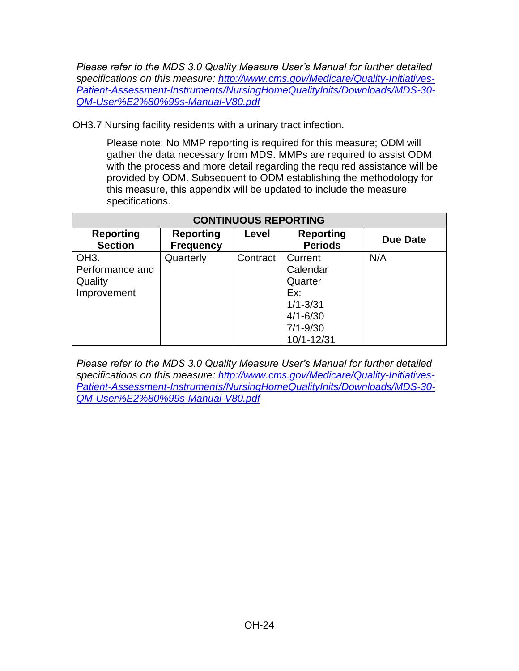*Please refer to the MDS 3.0 Quality Measure User's Manual for further detailed specifications on this measure: [http://www.cms.gov/Medicare/Quality-Initiatives-](http://www.cms.gov/Medicare/Quality-Initiatives-Patient-Assessment-Instruments/NursingHomeQualityInits/Downloads/MDS-30-QM-User%E2%80%99s-Manual-V80.pdf)[Patient-Assessment-Instruments/NursingHomeQualityInits/Downloads/MDS-30-](http://www.cms.gov/Medicare/Quality-Initiatives-Patient-Assessment-Instruments/NursingHomeQualityInits/Downloads/MDS-30-QM-User%E2%80%99s-Manual-V80.pdf) [QM-User%E2%80%99s-Manual-V80.pdf](http://www.cms.gov/Medicare/Quality-Initiatives-Patient-Assessment-Instruments/NursingHomeQualityInits/Downloads/MDS-30-QM-User%E2%80%99s-Manual-V80.pdf)*

OH3.7 Nursing facility residents with a urinary tract infection.

Please note: No MMP reporting is required for this measure; ODM will gather the data necessary from MDS. MMPs are required to assist ODM with the process and more detail regarding the required assistance will be provided by ODM. Subsequent to ODM establishing the methodology for this measure, this appendix will be updated to include the measure specifications.

| <b>CONTINUOUS REPORTING</b>                                    |                                      |          |                                                                                                     |          |
|----------------------------------------------------------------|--------------------------------------|----------|-----------------------------------------------------------------------------------------------------|----------|
| <b>Reporting</b><br><b>Section</b>                             | <b>Reporting</b><br><b>Frequency</b> | Level    | <b>Reporting</b><br><b>Periods</b>                                                                  | Due Date |
| OH <sub>3</sub> .<br>Performance and<br>Quality<br>Improvement | Quarterly                            | Contract | Current<br>Calendar<br>Quarter<br>Ex:<br>$1/1 - 3/31$<br>$4/1 - 6/30$<br>$7/1 - 9/30$<br>10/1-12/31 | N/A      |

*Please refer to the MDS 3.0 Quality Measure User's Manual for further detailed specifications on this measure: [http://www.cms.gov/Medicare/Quality-Initiatives-](http://www.cms.gov/Medicare/Quality-Initiatives-Patient-Assessment-Instruments/NursingHomeQualityInits/Downloads/MDS-30-QM-User%E2%80%99s-Manual-V80.pdf)[Patient-Assessment-Instruments/NursingHomeQualityInits/Downloads/MDS-30-](http://www.cms.gov/Medicare/Quality-Initiatives-Patient-Assessment-Instruments/NursingHomeQualityInits/Downloads/MDS-30-QM-User%E2%80%99s-Manual-V80.pdf) [QM-User%E2%80%99s-Manual-V80.pdf](http://www.cms.gov/Medicare/Quality-Initiatives-Patient-Assessment-Instruments/NursingHomeQualityInits/Downloads/MDS-30-QM-User%E2%80%99s-Manual-V80.pdf)*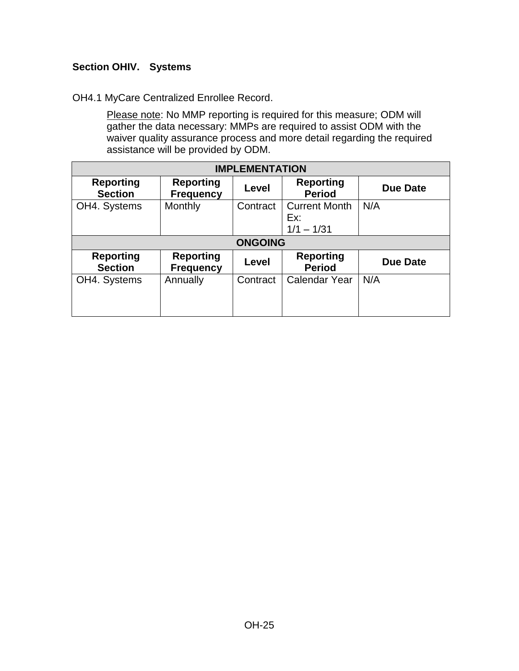# <span id="page-24-0"></span>**Section OHIV. Systems**

#### OH4.1 MyCare Centralized Enrollee Record.

Please note: No MMP reporting is required for this measure; ODM will gather the data necessary: MMPs are required to assist ODM with the waiver quality assurance process and more detail regarding the required assistance will be provided by ODM.

| <b>IMPLEMENTATION</b>              |                                      |                |                                             |                 |
|------------------------------------|--------------------------------------|----------------|---------------------------------------------|-----------------|
| <b>Reporting</b><br><b>Section</b> | <b>Reporting</b><br><b>Frequency</b> | Level          | <b>Reporting</b><br><b>Period</b>           | <b>Due Date</b> |
| OH4. Systems                       | <b>Monthly</b>                       | Contract       | <b>Current Month</b><br>Ex:<br>$1/1 - 1/31$ | N/A             |
|                                    |                                      | <b>ONGOING</b> |                                             |                 |
| <b>Reporting</b><br><b>Section</b> | <b>Reporting</b><br><b>Frequency</b> | Level          | <b>Reporting</b><br><b>Period</b>           | <b>Due Date</b> |
| OH4. Systems                       | Annually                             | Contract       | <b>Calendar Year</b>                        | N/A             |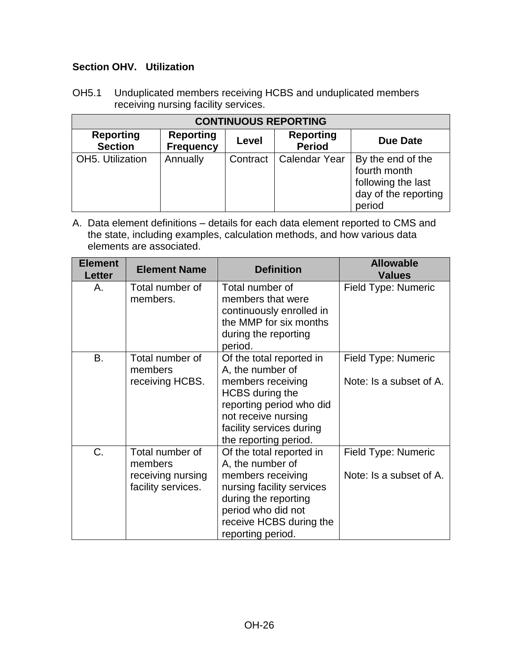# <span id="page-25-0"></span>**Section OHV. Utilization**

OH5.1 Unduplicated members receiving HCBS and unduplicated members receiving nursing facility services.

| <b>CONTINUOUS REPORTING</b>        |                                      |          |                                   |                                                                                           |  |
|------------------------------------|--------------------------------------|----------|-----------------------------------|-------------------------------------------------------------------------------------------|--|
| <b>Reporting</b><br><b>Section</b> | <b>Reporting</b><br><b>Frequency</b> | Level    | <b>Reporting</b><br><b>Period</b> | <b>Due Date</b>                                                                           |  |
| OH5. Utilization                   | Annually                             | Contract | <b>Calendar Year</b>              | By the end of the<br>fourth month<br>following the last<br>day of the reporting<br>period |  |

| <b>Element</b><br><b>Letter</b> | <b>Element Name</b>                                                   | <b>Definition</b>                                                                                                                                                                                   | <b>Allowable</b><br><b>Values</b>              |
|---------------------------------|-----------------------------------------------------------------------|-----------------------------------------------------------------------------------------------------------------------------------------------------------------------------------------------------|------------------------------------------------|
| Α.                              | Total number of<br>members.                                           | Total number of<br>members that were<br>continuously enrolled in<br>the MMP for six months<br>during the reporting<br>period.                                                                       | Field Type: Numeric                            |
| B.                              | Total number of<br>members<br>receiving HCBS.                         | Of the total reported in<br>A, the number of<br>members receiving<br><b>HCBS</b> during the<br>reporting period who did<br>not receive nursing<br>facility services during<br>the reporting period. | Field Type: Numeric<br>Note: Is a subset of A. |
| $C_{\cdot}$                     | Total number of<br>members<br>receiving nursing<br>facility services. | Of the total reported in<br>A, the number of<br>members receiving<br>nursing facility services<br>during the reporting<br>period who did not<br>receive HCBS during the<br>reporting period.        | Field Type: Numeric<br>Note: Is a subset of A. |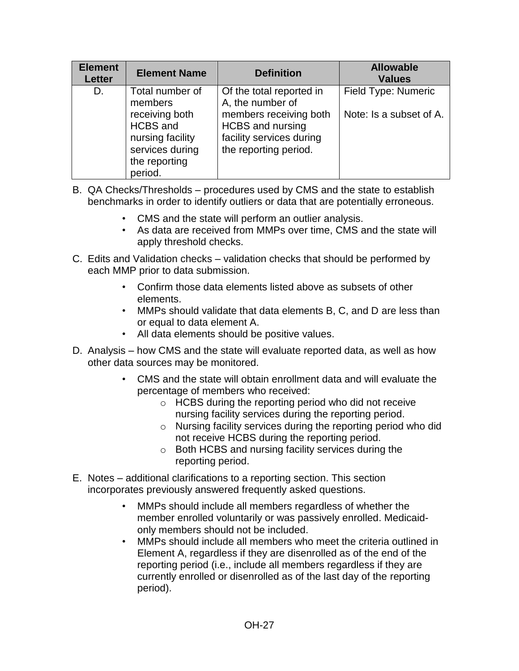| <b>Element</b><br><b>Letter</b> | <b>Element Name</b>                                                                           | <b>Definition</b>                                                                                      | <b>Allowable</b><br><b>Values</b> |
|---------------------------------|-----------------------------------------------------------------------------------------------|--------------------------------------------------------------------------------------------------------|-----------------------------------|
| D.                              | Total number of<br>members                                                                    | Of the total reported in<br>A, the number of                                                           | Field Type: Numeric               |
|                                 | receiving both<br>HCBS and<br>nursing facility<br>services during<br>the reporting<br>period. | members receiving both<br><b>HCBS</b> and nursing<br>facility services during<br>the reporting period. | Note: Is a subset of A.           |

- B. QA Checks/Thresholds procedures used by CMS and the state to establish benchmarks in order to identify outliers or data that are potentially erroneous.
	- CMS and the state will perform an outlier analysis.
	- As data are received from MMPs over time, CMS and the state will apply threshold checks.
- C. Edits and Validation checks validation checks that should be performed by each MMP prior to data submission.
	- Confirm those data elements listed above as subsets of other elements.
	- MMPs should validate that data elements B, C, and D are less than or equal to data element A.
	- All data elements should be positive values.
- D. Analysis how CMS and the state will evaluate reported data, as well as how other data sources may be monitored.
	- CMS and the state will obtain enrollment data and will evaluate the percentage of members who received:
		- o HCBS during the reporting period who did not receive nursing facility services during the reporting period.
		- o Nursing facility services during the reporting period who did not receive HCBS during the reporting period.
		- o Both HCBS and nursing facility services during the reporting period.
- E. Notes additional clarifications to a reporting section. This section incorporates previously answered frequently asked questions.
	- MMPs should include all members regardless of whether the member enrolled voluntarily or was passively enrolled. Medicaidonly members should not be included.
	- MMPs should include all members who meet the criteria outlined in Element A, regardless if they are disenrolled as of the end of the reporting period (i.e., include all members regardless if they are currently enrolled or disenrolled as of the last day of the reporting period).